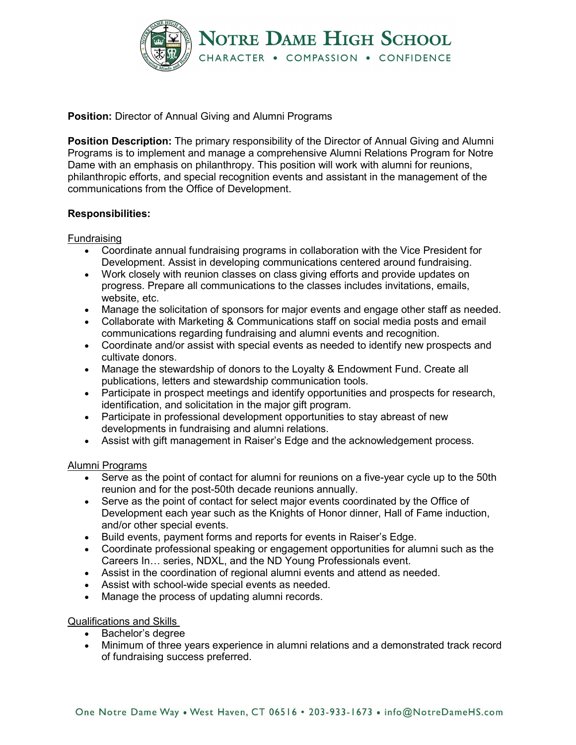

**Position:** Director of Annual Giving and Alumni Programs

**Position Description:** The primary responsibility of the Director of Annual Giving and Alumni Programs is to implement and manage a comprehensive Alumni Relations Program for Notre Dame with an emphasis on philanthropy. This position will work with alumni for reunions, philanthropic efforts, and special recognition events and assistant in the management of the communications from the Office of Development.

# **Responsibilities:**

## Fundraising

- Coordinate annual fundraising programs in collaboration with the Vice President for Development. Assist in developing communications centered around fundraising.
- Work closely with reunion classes on class giving efforts and provide updates on progress. Prepare all communications to the classes includes invitations, emails, website, etc.
- Manage the solicitation of sponsors for major events and engage other staff as needed.
- Collaborate with Marketing & Communications staff on social media posts and email communications regarding fundraising and alumni events and recognition.
- Coordinate and/or assist with special events as needed to identify new prospects and cultivate donors.
- Manage the stewardship of donors to the Loyalty & Endowment Fund. Create all publications, letters and stewardship communication tools.
- Participate in prospect meetings and identify opportunities and prospects for research, identification, and solicitation in the major gift program.
- Participate in professional development opportunities to stay abreast of new developments in fundraising and alumni relations.
- Assist with gift management in Raiser's Edge and the acknowledgement process.

## Alumni Programs

- Serve as the point of contact for alumni for reunions on a five-year cycle up to the 50th reunion and for the post-50th decade reunions annually.
- Serve as the point of contact for select major events coordinated by the Office of Development each year such as the Knights of Honor dinner, Hall of Fame induction, and/or other special events.
- Build events, payment forms and reports for events in Raiser's Edge.
- Coordinate professional speaking or engagement opportunities for alumni such as the Careers In… series, NDXL, and the ND Young Professionals event.
- Assist in the coordination of regional alumni events and attend as needed.
- Assist with school-wide special events as needed.
- Manage the process of updating alumni records.

## Qualifications and Skills

- Bachelor's degree
- Minimum of three years experience in alumni relations and a demonstrated track record of fundraising success preferred.